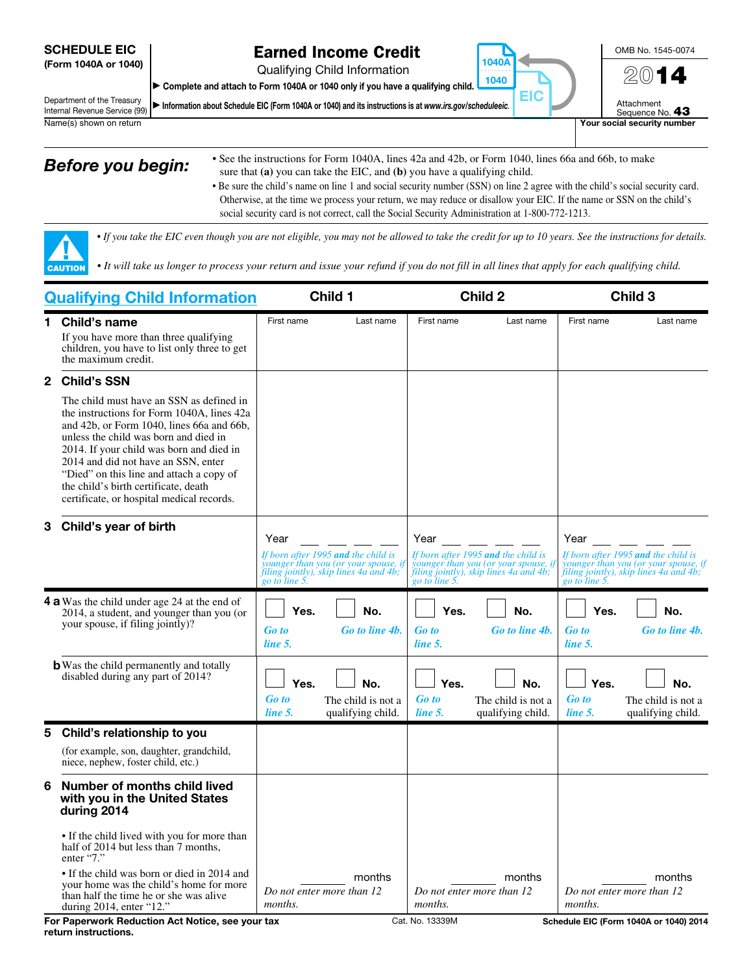#### SCHEDULE EIC (Form 1040A or 1040)

## Earned Income Credit

Qualifying Child Information

▶ Complete and attach to Form 1040A or 1040 only if you have a qualifying child.

Department of the Treasury Internal Revenue Service (99)  $\blacktriangleright$  Information about Schedule EIC (Form 1040A or 1040) and its instructions is at *www.irs.gov/scheduleeic.* 



Attachment<br>Sequence No. 43 Name(s) shown on return **Your social security number** Your social security number

▲! CAUTION

- **Before you begin:** See the instructions for Form 1040A, lines 42a and 42b, or Form 1040, lines 66a and 66b, to make sure that **(a)** you can take the EIC, and **(b)** you have a qualifying child.
	- Be sure the child's name on line 1 and social security number (SSN) on line 2 agree with the child's social security card. Otherwise, at the time we process your return, we may reduce or disallow your EIC. If the name or SSN on the child's social security card is not correct, call the Social Security Administration at 1-800-772-1213.

1040A . . . . . . . . . . 1040

EIC

*• If you take the EIC even though you are not eligible, you may not be allowed to take the credit for up to 10 years. See the instructions for details.*

*• It will take us longer to process your return and issue your refund if you do not fill in all lines that apply for each qualifying child.* 

| <b>Qualifying Child Information</b> |                                                                                                                                                                                                                                                                                                                                                                                                  | Child 1                         |                                                                                                                                        | Child 2                         |                                                                                                                       | Child 3                         |                                                                                                                                        |
|-------------------------------------|--------------------------------------------------------------------------------------------------------------------------------------------------------------------------------------------------------------------------------------------------------------------------------------------------------------------------------------------------------------------------------------------------|---------------------------------|----------------------------------------------------------------------------------------------------------------------------------------|---------------------------------|-----------------------------------------------------------------------------------------------------------------------|---------------------------------|----------------------------------------------------------------------------------------------------------------------------------------|
| 1.                                  | Child's name<br>If you have more than three qualifying<br>children, you have to list only three to get<br>the maximum credit.                                                                                                                                                                                                                                                                    | First name                      | Last name                                                                                                                              | First name                      | Last name                                                                                                             | First name                      | Last name                                                                                                                              |
| $\mathbf{2}$                        | <b>Child's SSN</b>                                                                                                                                                                                                                                                                                                                                                                               |                                 |                                                                                                                                        |                                 |                                                                                                                       |                                 |                                                                                                                                        |
|                                     | The child must have an SSN as defined in<br>the instructions for Form 1040A, lines 42a<br>and 42b, or Form 1040, lines 66a and 66b,<br>unless the child was born and died in<br>2014. If your child was born and died in<br>2014 and did not have an SSN, enter<br>"Died" on this line and attach a copy of<br>the child's birth certificate, death<br>certificate, or hospital medical records. |                                 |                                                                                                                                        |                                 |                                                                                                                       |                                 |                                                                                                                                        |
| 3                                   | Child's year of birth                                                                                                                                                                                                                                                                                                                                                                            | Year                            | If born after 1995 and the child is<br>younger than you (or your spouse, if<br>filing jointly), skip lines 4a and 4b;<br>go to line 5. | Year<br>go to line 5.           | If born after 1995 and the child is<br>younger than you (or your spouse, ip<br>filing jointly), skip lines 4a and 4b; | Year                            | If born after 1995 and the child is<br>younger than you (or your spouse, if<br>filing jointly), skip lines 4a and 4b;<br>go to line 5. |
|                                     | <b>4 a</b> Was the child under age 24 at the end of<br>2014, a student, and younger than you (or<br>your spouse, if filing jointly)?                                                                                                                                                                                                                                                             | Yes.<br><b>Go</b> to<br>line 5. | No.<br>Go to line 4b.                                                                                                                  | Yes.<br><b>Go to</b><br>line 5. | No.<br>Go to line 4b.                                                                                                 | Yes.<br><b>Go</b> to<br>line 5. | No.<br>Go to line 4b.                                                                                                                  |
|                                     | <b>b</b> Was the child permanently and totally<br>disabled during any part of 2014?                                                                                                                                                                                                                                                                                                              | Yes.<br><b>Go to</b><br>line 5. | No.<br>The child is not a<br>qualifying child.                                                                                         | Yes.<br><b>Go</b> to<br>line 5. | No.<br>The child is not a<br>qualifying child.                                                                        | Yes.<br><b>Go</b> to<br>line 5. | No.<br>The child is not a<br>qualifying child.                                                                                         |
| 5                                   | Child's relationship to you                                                                                                                                                                                                                                                                                                                                                                      |                                 |                                                                                                                                        |                                 |                                                                                                                       |                                 |                                                                                                                                        |
|                                     | (for example, son, daughter, grandchild,<br>niece, nephew, foster child, etc.)                                                                                                                                                                                                                                                                                                                   |                                 |                                                                                                                                        |                                 |                                                                                                                       |                                 |                                                                                                                                        |
| 6                                   | Number of months child lived<br>with you in the United States<br>during 2014                                                                                                                                                                                                                                                                                                                     |                                 |                                                                                                                                        |                                 |                                                                                                                       |                                 |                                                                                                                                        |
|                                     | • If the child lived with you for more than<br>half of 2014 but less than 7 months,<br>enter "7."                                                                                                                                                                                                                                                                                                |                                 |                                                                                                                                        |                                 |                                                                                                                       |                                 |                                                                                                                                        |
|                                     | • If the child was born or died in 2014 and<br>your home was the child's home for more<br>than half the time he or she was alive<br>during $2014$ , enter "12."                                                                                                                                                                                                                                  | months.                         | months<br>Do not enter more than 12                                                                                                    | months.                         | months<br>Do not enter more than 12                                                                                   | months.                         | months<br>Do not enter more than 12                                                                                                    |